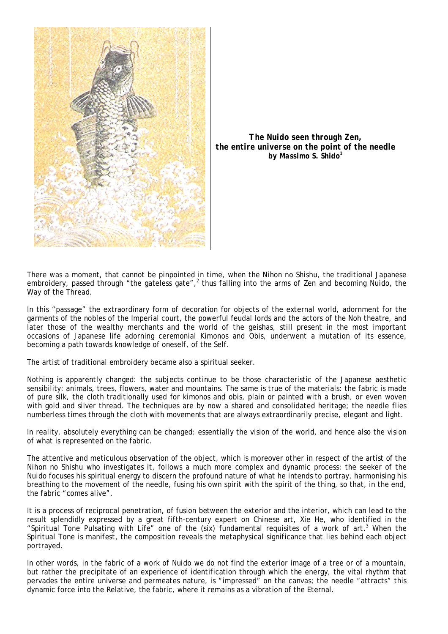

*The Nuido seen through Zen, the entire universe on the point of the needle by Massimo S. Shido<sup>1</sup>*

There was a moment, that cannot be pinpointed in time, when the *Nihon no Shishu,* the traditional Japanese embroidery, passed through "the gateless gate",<sup>2</sup> thus falling into the arms of Zen and becoming Nuido, the Way of the Thread.

In this "passage" the extraordinary form of decoration for objects of the external world, adornment for the garments of the nobles of the Imperial court, the powerful feudal lords and the actors of the Noh theatre, and later those of the wealthy merchants and the world of the geishas, still present in the most important occasions of Japanese life adorning ceremonial Kimonos and Obis, underwent a mutation of its essence, becoming a path towards knowledge of oneself, of the Self.

The artist of traditional embroidery became also a spiritual seeker.

Nothing is apparently changed: the subjects continue to be those characteristic of the Japanese aesthetic sensibility: animals, trees, flowers, water and mountains. The same is true of the materials: the fabric is made of pure silk, the cloth traditionally used for kimonos and obis, plain or painted with a brush, or even woven with gold and silver thread. The techniques are by now a shared and consolidated heritage; the needle flies numberless times through the cloth with movements that are always extraordinarily precise, elegant and light.

In reality, absolutely everything can be changed: essentially the vision of the world, and hence also the vision of what is represented on the fabric.

The attentive and meticulous observation of the object, which is moreover *other* in respect of the artist of the *Nihon no Shishu* who investigates it, follows a much more complex and dynamic process: the seeker of the *Nuido* focuses his spiritual energy to discern the profound nature of what he intends to portray, harmonising his breathing to the movement of the needle, fusing his own spirit with the spirit of the thing, so that, in the end, the fabric "comes alive".

It is a process of reciprocal penetration, of fusion between the exterior and the interior, which can lead to the result splendidly expressed by a great fifth-century expert on Chinese art, Xie He, who identified in the "Spiritual Tone Pulsating with Life" one of the (six) fundamental requisites of a work of art. <sup>3</sup> When the Spiritual Tone is manifest, the composition reveals the metaphysical significance that lies behind each object portrayed.

In other words, in the fabric of a work of *Nuido* we do not find the exterior image of a tree or of a mountain, but rather the precipitate of an experience of identification through which the energy, the vital rhythm that pervades the entire universe and permeates nature, is "impressed" on the canvas; the needle "attracts" this dynamic force into the Relative, the fabric, where it remains as a vibration of the Eternal.